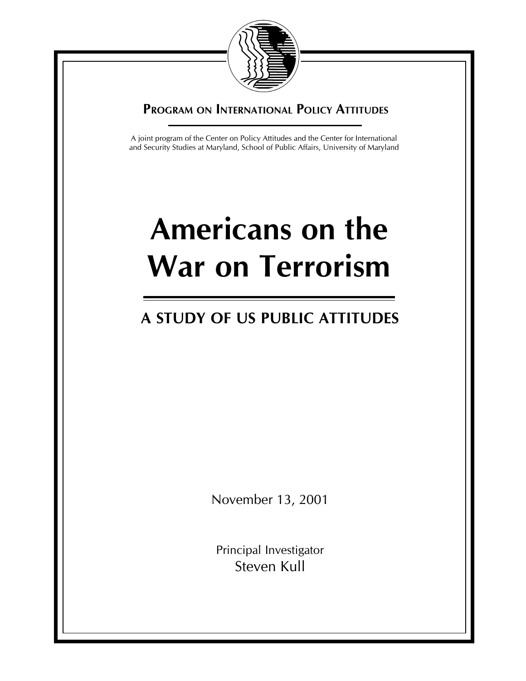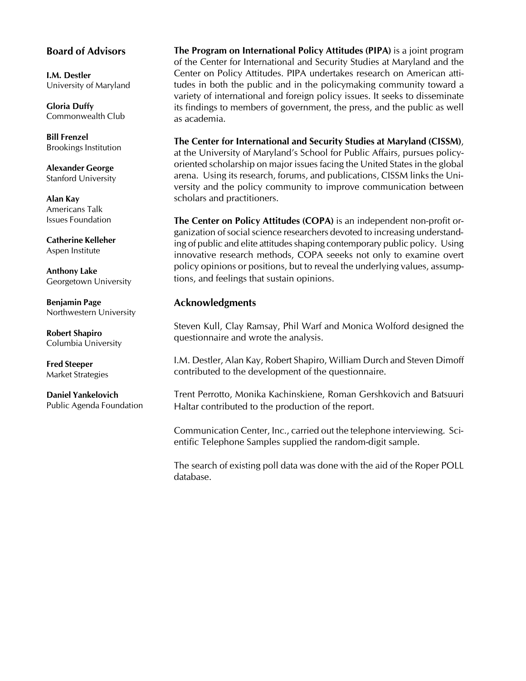## Board of Advisors

I.M. Destler University of Maryland

Gloria Duffy Commonwealth Club

Bill Frenzel Brookings Institution

Alexander George Stanford University

Alan Kay Americans Talk Issues Foundation

Catherine Kelleher Aspen Institute

Anthony Lake Georgetown University

Benjamin Page Northwestern University

Robert Shapiro Columbia University

Fred Steeper Market Strategies

Daniel Yankelovich Public Agenda Foundation The Program on International Policy Attitudes (PIPA) is a joint program of the Center for International and Security Studies at Maryland and the Center on Policy Attitudes. PIPA undertakes research on American attitudes in both the public and in the policymaking community toward a variety of international and foreign policy issues. It seeks to disseminate its findings to members of government, the press, and the public as well as academia.

The Center for International and Security Studies at Maryland (CISSM), at the University of Maryland's School for Public Affairs, pursues policyoriented scholarship on major issues facing the United States in the global arena. Using its research, forums, and publications, CISSM links the University and the policy community to improve communication between scholars and practitioners.

The Center on Policy Attitudes (COPA) is an independent non-profit organization of social science researchers devoted to increasing understanding of public and elite attitudes shaping contemporary public policy. Using innovative research methods, COPA seeeks not only to examine overt policy opinions or positions, but to reveal the underlying values, assumptions, and feelings that sustain opinions.

# Acknowledgments

Steven Kull, Clay Ramsay, Phil Warf and Monica Wolford designed the questionnaire and wrote the analysis.

I.M. Destler, Alan Kay, Robert Shapiro, William Durch and Steven Dimoff contributed to the development of the questionnaire.

Trent Perrotto, Monika Kachinskiene, Roman Gershkovich and Batsuuri Haltar contributed to the production of the report.

Communication Center, Inc., carried out the telephone interviewing. Scientific Telephone Samples supplied the random-digit sample.

The search of existing poll data was done with the aid of the Roper POLL database.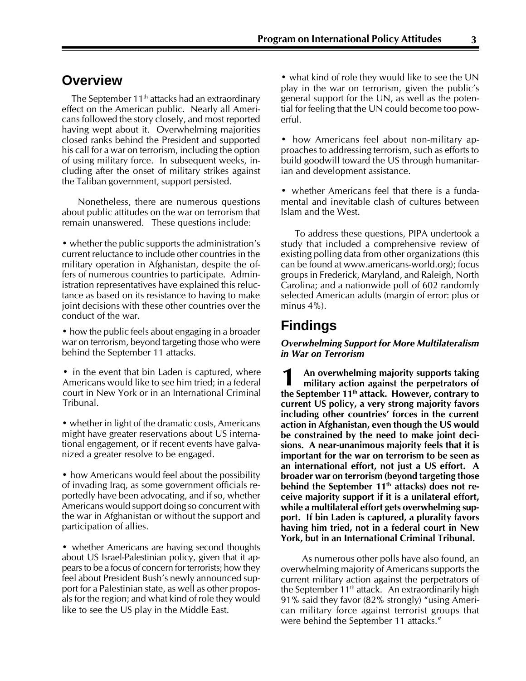# **Overview**

The September  $11<sup>th</sup>$  attacks had an extraordinary effect on the American public. Nearly all Americans followed the story closely, and most reported having wept about it. Overwhelming majorities closed ranks behind the President and supported his call for a war on terrorism, including the option of using military force. In subsequent weeks, including after the onset of military strikes against the Taliban government, support persisted.

Nonetheless, there are numerous questions about public attitudes on the war on terrorism that remain unanswered. These questions include:

• whether the public supports the administration's current reluctance to include other countries in the military operation in Afghanistan, despite the offers of numerous countries to participate. Administration representatives have explained this reluctance as based on its resistance to having to make joint decisions with these other countries over the conduct of the war.

• how the public feels about engaging in a broader war on terrorism, beyond targeting those who were behind the September 11 attacks.

• in the event that bin Laden is captured, where Americans would like to see him tried; in a federal court in New York or in an International Criminal Tribunal.

• whether in light of the dramatic costs, Americans might have greater reservations about US international engagement, or if recent events have galvanized a greater resolve to be engaged.

• how Americans would feel about the possibility of invading Iraq, as some government officials reportedly have been advocating, and if so, whether Americans would support doing so concurrent with the war in Afghanistan or without the support and participation of allies.

• whether Americans are having second thoughts about US Israel-Palestinian policy, given that it appears to be a focus of concern for terrorists; how they feel about President Bush's newly announced support for a Palestinian state, as well as other proposals for the region; and what kind of role they would like to see the US play in the Middle East.

• what kind of role they would like to see the UN play in the war on terrorism, given the public's general support for the UN, as well as the potential for feeling that the UN could become too powerful.

• how Americans feel about non-military approaches to addressing terrorism, such as efforts to build goodwill toward the US through humanitarian and development assistance.

• whether Americans feel that there is a fundamental and inevitable clash of cultures between Islam and the West.

To address these questions, PIPA undertook a study that included a comprehensive review of existing polling data from other organizations (this can be found at www.americans-world.org); focus groups in Frederick, Maryland, and Raleigh, North Carolina; and a nationwide poll of 602 randomly selected American adults (margin of error: plus or minus  $4\%$ ).

# **Findings**

#### Overwhelming Support for More Multilateralism in War on Terrorism

An overwhelming majority supports taking military action against the perpetrators of the September 11<sup>th</sup> attack. However, contrary to current US policy, a very strong majority favors including other countries' forces in the current action in Afghanistan, even though the US would be constrained by the need to make joint decisions. A near-unanimous majority feels that it is important for the war on terrorism to be seen as an international effort, not just a US effort. A broader war on terrorism (beyond targeting those behind the September  $11<sup>th</sup>$  attacks) does not receive majority support if it is a unilateral effort, while a multilateral effort gets overwhelming support. If bin Laden is captured, a plurality favors having him tried, not in a federal court in New York, but in an International Criminal Tribunal. 1

 As numerous other polls have also found, an overwhelming majority of Americans supports the current military action against the perpetrators of the September  $11<sup>th</sup>$  attack. An extraordinarily high 91% said they favor  $(82%$  strongly) "using American military force against terrorist groups that were behind the September 11 attacks."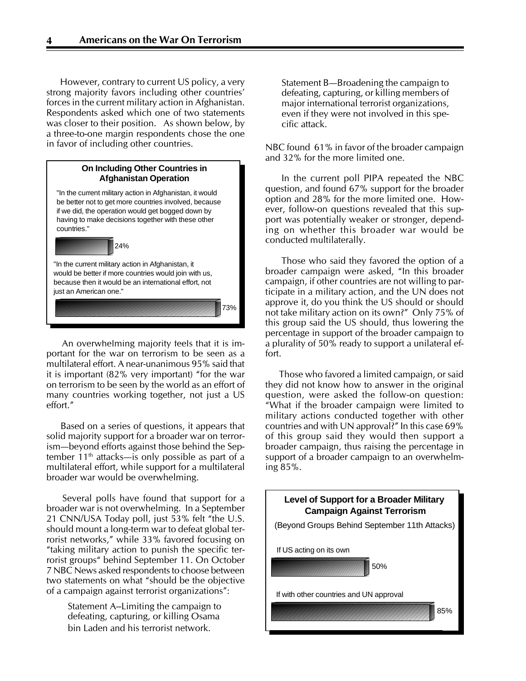However, contrary to current US policy, a very strong majority favors including other countries' forces in the current military action in Afghanistan. Respondents asked which one of two statements was closer to their position. As shown below, by a three-to-one margin respondents chose the one in favor of including other countries.



An overwhelming majority feels that it is important for the war on terrorism to be seen as a multilateral effort. A near-unanimous 95% said that it is important  $(82\%$  very important) "for the war on terrorism to be seen by the world as an effort of many countries working together, not just a US effort."

Based on a series of questions, it appears that solid majority support for a broader war on terrorism—beyond efforts against those behind the September  $11<sup>th</sup>$  attacks—is only possible as part of a multilateral effort, while support for a multilateral broader war would be overwhelming.

Several polls have found that support for a broader war is not overwhelming. In a September 21 CNN/USA Today poll, just  $53\%$  felt "the U.S. should mount a long-term war to defeat global terrorist networks," while 33% favored focusing on "taking military action to punish the specific terrorist groups<sup>"</sup> behind September 11. On October 7 NBC News asked respondents to choose between two statements on what "should be the objective of a campaign against terrorist organizations":

> Statement A--Limiting the campaign to defeating, capturing, or killing Osama bin Laden and his terrorist network.

Statement B-Broadening the campaign to defeating, capturing, or killing members of major international terrorist organizations, even if they were not involved in this specific attack.

NBC found 61% in favor of the broader campaign and 32% for the more limited one.

In the current poll PIPA repeated the NBC question, and found 67% support for the broader option and 28% for the more limited one. However, follow-on questions revealed that this support was potentially weaker or stronger, depending on whether this broader war would be conducted multilaterally.

Those who said they favored the option of a broader campaign were asked, "In this broader campaign, if other countries are not willing to participate in a military action, and the UN does not approve it, do you think the US should or should not take military action on its own?" Only 75% of this group said the US should, thus lowering the percentage in support of the broader campaign to a plurality of 50% ready to support a unilateral effort.

Those who favored a limited campaign, or said they did not know how to answer in the original question, were asked the follow-on question: ìWhat if the broader campaign were limited to military actions conducted together with other countries and with UN approval?" In this case  $69\%$ of this group said they would then support a broader campaign, thus raising the percentage in support of a broader campaign to an overwhelming 85%.

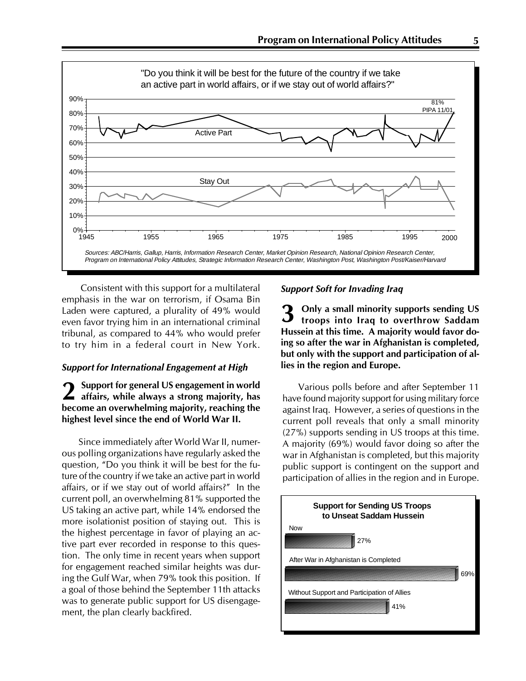

Consistent with this support for a multilateral emphasis in the war on terrorism, if Osama Bin Laden were captured, a plurality of 49% would even favor trying him in an international criminal tribunal, as compared to 44% who would prefer to try him in a federal court in New York.

#### Support for International Engagement at High

Support for general US engagement in world affairs, while always a strong majority, has become an overwhelming majority, reaching the highest level since the end of World War II. 2

Since immediately after World War II, numerous polling organizations have regularly asked the question, "Do you think it will be best for the future of the country if we take an active part in world affairs, or if we stay out of world affairs?" In the current poll, an overwhelming 81% supported the US taking an active part, while 14% endorsed the more isolationist position of staying out. This is the highest percentage in favor of playing an active part ever recorded in response to this question. The only time in recent years when support for engagement reached similar heights was during the Gulf War, when 79% took this position. If a goal of those behind the September 11th attacks was to generate public support for US disengagement, the plan clearly backfired.

#### Support Soft for Invading Iraq

Only a small minority supports sending US troops into Iraq to overthrow Saddam Hussein at this time. A majority would favor doing so after the war in Afghanistan is completed, but only with the support and participation of allies in the region and Europe. 3

Various polls before and after September 11 have found majority support for using military force against Iraq. However, a series of questions in the current poll reveals that only a small minority (27%) supports sending in US troops at this time. A majority (69%) would favor doing so after the war in Afghanistan is completed, but this majority public support is contingent on the support and participation of allies in the region and in Europe.

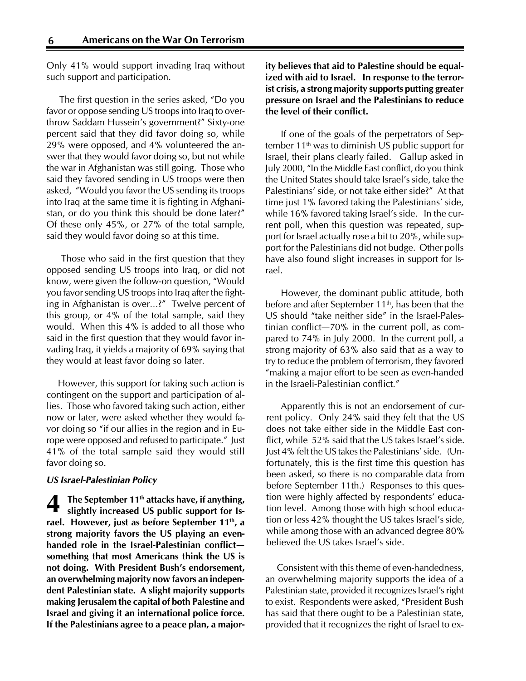Only 41% would support invading Iraq without such support and participation.

The first question in the series asked, "Do you favor or oppose sending US troops into Iraq to overthrow Saddam Hussein's government?" Sixty-one percent said that they did favor doing so, while 29% were opposed, and 4% volunteered the answer that they would favor doing so, but not while the war in Afghanistan was still going. Those who said they favored sending in US troops were then asked, "Would you favor the US sending its troops into Iraq at the same time it is fighting in Afghanistan, or do you think this should be done later?" Of these only 45%, or 27% of the total sample, said they would favor doing so at this time.

Those who said in the first question that they opposed sending US troops into Iraq, or did not know, were given the follow-on question, "Would you favor sending US troops into Iraq after the fighting in Afghanistan is over...?" Twelve percent of this group, or 4% of the total sample, said they would. When this 4% is added to all those who said in the first question that they would favor invading Iraq, it yields a majority of 69% saying that they would at least favor doing so later.

 However, this support for taking such action is contingent on the support and participation of allies. Those who favored taking such action, either now or later, were asked whether they would favor doing so "if our allies in the region and in Europe were opposed and refused to participate.<sup>"</sup> Just 41% of the total sample said they would still favor doing so.

#### US Israel-Palestinian Policy

The September 11<sup>th</sup> attacks have, if anything, slightly increased US public support for Israel. However, just as before September 11th, a strong majority favors the US playing an evenhanded role in the Israel-Palestinian conflict something that most Americans think the US is not doing. With President Bush's endorsement, an overwhelming majority now favors an independent Palestinian state. A slight majority supports making Jerusalem the capital of both Palestine and Israel and giving it an international police force. If the Palestinians agree to a peace plan, a major-4

## ity believes that aid to Palestine should be equalized with aid to Israel. In response to the terrorist crisis, a strong majority supports putting greater pressure on Israel and the Palestinians to reduce the level of their conflict.

If one of the goals of the perpetrators of September  $11<sup>th</sup>$  was to diminish US public support for Israel, their plans clearly failed. Gallup asked in July 2000, "In the Middle East conflict, do you think the United States should take Israel's side, take the Palestinians' side, or not take either side?" At that time just 1% favored taking the Palestinians' side, while 16% favored taking Israel's side. In the current poll, when this question was repeated, support for Israel actually rose a bit to 20%, while support for the Palestinians did not budge. Other polls have also found slight increases in support for Israel.

However, the dominant public attitude, both before and after September  $11<sup>th</sup>$ , has been that the US should "take neither side" in the Israel-Palestinian conflict $-70\%$  in the current poll, as compared to 74% in July 2000. In the current poll, a strong majority of 63% also said that as a way to try to reduce the problem of terrorism, they favored "making a major effort to be seen as even-handed in the Israeli-Palestinian conflict."

Apparently this is not an endorsement of current policy. Only 24% said they felt that the US does not take either side in the Middle East conflict, while  $52\%$  said that the US takes Israel's side. Just 4% felt the US takes the Palestinians' side. (Unfortunately, this is the first time this question has been asked, so there is no comparable data from before September 11th.) Responses to this question were highly affected by respondents' education level. Among those with high school education or less 42% thought the US takes Israel's side, while among those with an advanced degree 80% believed the US takes Israel's side.

Consistent with this theme of even-handedness, an overwhelming majority supports the idea of a Palestinian state, provided it recognizes Israel's right to exist. Respondents were asked, "President Bush has said that there ought to be a Palestinian state, provided that it recognizes the right of Israel to ex-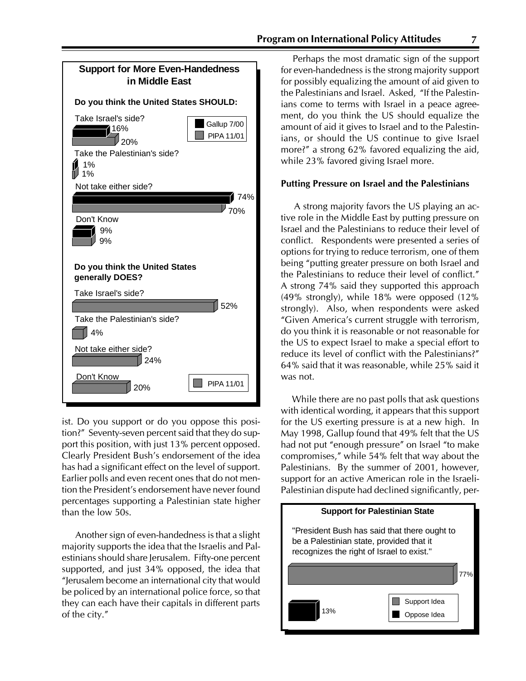

ist. Do you support or do you oppose this position?" Seventy-seven percent said that they do support this position, with just 13% percent opposed. Clearly President Bush's endorsement of the idea has had a significant effect on the level of support. Earlier polls and even recent ones that do not mention the President's endorsement have never found percentages supporting a Palestinian state higher than the low 50s.

Another sign of even-handedness is that a slight majority supports the idea that the Israelis and Palestinians should share Jerusalem. Fifty-one percent supported, and just 34% opposed, the idea that ìJerusalem become an international city that would be policed by an international police force, so that they can each have their capitals in different parts of the city."  $\blacksquare$  13%

Perhaps the most dramatic sign of the support for even-handedness is the strong majority support for possibly equalizing the amount of aid given to the Palestinians and Israel. Asked, "If the Palestinians come to terms with Israel in a peace agreement, do you think the US should equalize the amount of aid it gives to Israel and to the Palestinians, or should the US continue to give Israel more?" a strong  $62\%$  favored equalizing the aid, while 23% favored giving Israel more.

#### Putting Pressure on Israel and the Palestinians

A strong majority favors the US playing an active role in the Middle East by putting pressure on Israel and the Palestinians to reduce their level of conflict. Respondents were presented a series of options for trying to reduce terrorism, one of them being "putting greater pressure on both Israel and the Palestinians to reduce their level of conflict." A strong 74% said they supported this approach (49% strongly), while 18% were opposed (12% strongly). Also, when respondents were asked ìGiven Americaís current struggle with terrorism, do you think it is reasonable or not reasonable for the US to expect Israel to make a special effort to reduce its level of conflict with the Palestinians?" 64% said that it was reasonable, while 25% said it was not.

While there are no past polls that ask questions with identical wording, it appears that this support for the US exerting pressure is at a new high. In May 1998, Gallup found that 49% felt that the US had not put "enough pressure" on Israel "to make compromises, $\mu$  while 54% felt that way about the Palestinians. By the summer of 2001, however, support for an active American role in the Israeli-Palestinian dispute had declined significantly, per-

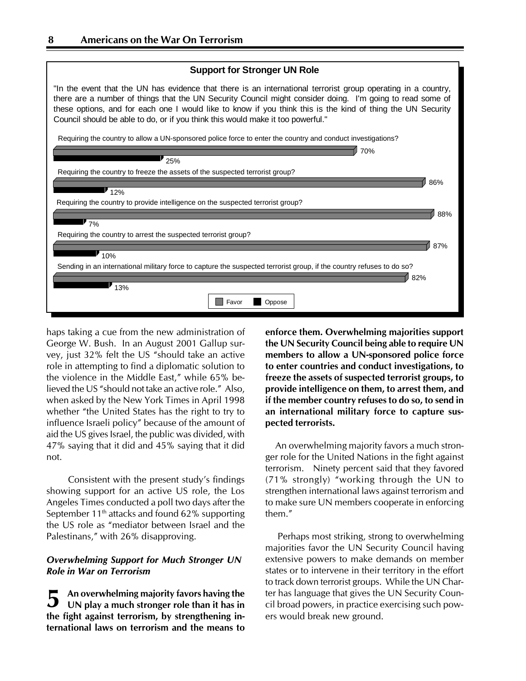

haps taking a cue from the new administration of George W. Bush. In an August 2001 Gallup survey, just 32% felt the US "should take an active role in attempting to find a diplomatic solution to the violence in the Middle East," while  $65\%$  believed the US "should not take an active role." Also, when asked by the New York Times in April 1998 whether "the United States has the right to try to influence Israeli policy" because of the amount of aid the US gives Israel, the public was divided, with 47% saying that it did and 45% saying that it did not.

Consistent with the present study's findings showing support for an active US role, the Los Angeles Times conducted a poll two days after the September 11<sup>th</sup> attacks and found 62% supporting the US role as "mediator between Israel and the Palestinans," with 26% disapproving.

### Overwhelming Support for Much Stronger UN Role in War on Terrorism

An overwhelming majority favors having the UN play a much stronger role than it has in the fight against terrorism, by strengthening international laws on terrorism and the means to 5

enforce them. Overwhelming majorities support the UN Security Council being able to require UN members to allow a UN-sponsored police force to enter countries and conduct investigations, to freeze the assets of suspected terrorist groups, to provide intelligence on them, to arrest them, and if the member country refuses to do so, to send in an international military force to capture suspected terrorists.

An overwhelming majority favors a much stronger role for the United Nations in the fight against terrorism. Ninety percent said that they favored  $(71\%$  strongly) "working through the UN to strengthen international laws against terrorism and to make sure UN members cooperate in enforcing them."

Perhaps most striking, strong to overwhelming majorities favor the UN Security Council having extensive powers to make demands on member states or to intervene in their territory in the effort to track down terrorist groups. While the UN Charter has language that gives the UN Security Council broad powers, in practice exercising such powers would break new ground.